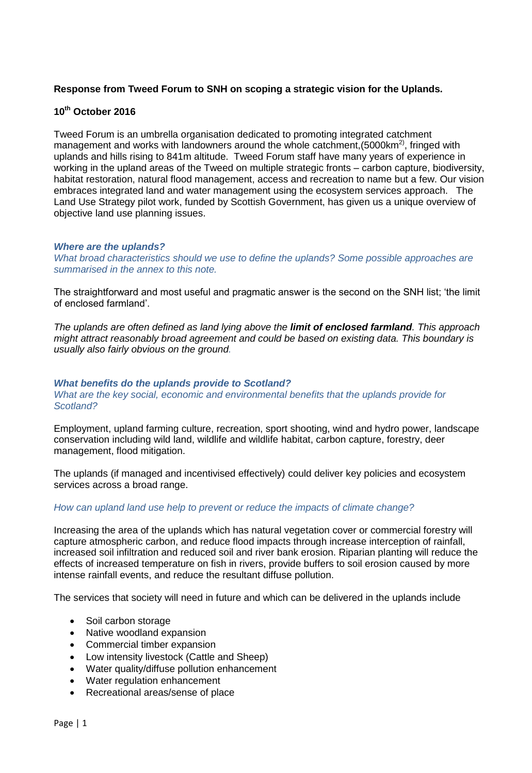# **Response from Tweed Forum to SNH on scoping a strategic vision for the Uplands.**

# **10th October 2016**

Tweed Forum is an umbrella organisation dedicated to promoting integrated catchment management and works with landowners around the whole catchment,  $(5000km^2)$ , fringed with uplands and hills rising to 841m altitude. Tweed Forum staff have many years of experience in working in the upland areas of the Tweed on multiple strategic fronts – carbon capture, biodiversity, habitat restoration, natural flood management, access and recreation to name but a few. Our vision embraces integrated land and water management using the ecosystem services approach. The Land Use Strategy pilot work, funded by Scottish Government, has given us a unique overview of objective land use planning issues.

### *Where are the uplands?*

*What broad characteristics should we use to define the uplands? Some possible approaches are summarised in the annex to this note.* 

The straightforward and most useful and pragmatic answer is the second on the SNH list; 'the limit of enclosed farmland'.

*The uplands are often defined as land lying above the limit of enclosed farmland. This approach might attract reasonably broad agreement and could be based on existing data. This boundary is usually also fairly obvious on the ground.* 

### *What benefits do the uplands provide to Scotland?*

#### *What are the key social, economic and environmental benefits that the uplands provide for Scotland?*

Employment, upland farming culture, recreation, sport shooting, wind and hydro power, landscape conservation including wild land, wildlife and wildlife habitat, carbon capture, forestry, deer management, flood mitigation.

The uplands (if managed and incentivised effectively) could deliver key policies and ecosystem services across a broad range.

## *How can upland land use help to prevent or reduce the impacts of climate change?*

Increasing the area of the uplands which has natural vegetation cover or commercial forestry will capture atmospheric carbon, and reduce flood impacts through increase interception of rainfall, increased soil infiltration and reduced soil and river bank erosion. Riparian planting will reduce the effects of increased temperature on fish in rivers, provide buffers to soil erosion caused by more intense rainfall events, and reduce the resultant diffuse pollution.

The services that society will need in future and which can be delivered in the uplands include

- Soil carbon storage
- Native woodland expansion
- Commercial timber expansion
- Low intensity livestock (Cattle and Sheep)
- Water quality/diffuse pollution enhancement
- Water regulation enhancement
- Recreational areas/sense of place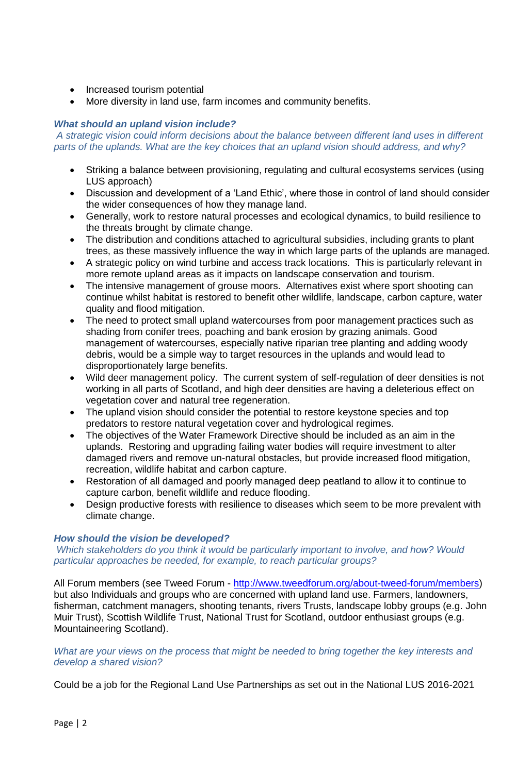- Increased tourism potential
- More diversity in land use, farm incomes and community benefits.

# *What should an upland vision include?*

*A strategic vision could inform decisions about the balance between different land uses in different parts of the uplands. What are the key choices that an upland vision should address, and why?* 

- Striking a balance between provisioning, regulating and cultural ecosystems services (using LUS approach)
- Discussion and development of a 'Land Ethic', where those in control of land should consider the wider consequences of how they manage land.
- Generally, work to restore natural processes and ecological dynamics, to build resilience to the threats brought by climate change.
- The distribution and conditions attached to agricultural subsidies, including grants to plant trees, as these massively influence the way in which large parts of the uplands are managed.
- A strategic policy on wind turbine and access track locations. This is particularly relevant in more remote upland areas as it impacts on landscape conservation and tourism.
- The intensive management of grouse moors. Alternatives exist where sport shooting can continue whilst habitat is restored to benefit other wildlife, landscape, carbon capture, water quality and flood mitigation.
- The need to protect small upland watercourses from poor management practices such as shading from conifer trees, poaching and bank erosion by grazing animals. Good management of watercourses, especially native riparian tree planting and adding woody debris, would be a simple way to target resources in the uplands and would lead to disproportionately large benefits.
- Wild deer management policy. The current system of self-regulation of deer densities is not working in all parts of Scotland, and high deer densities are having a deleterious effect on vegetation cover and natural tree regeneration.
- The upland vision should consider the potential to restore keystone species and top predators to restore natural vegetation cover and hydrological regimes.
- The objectives of the Water Framework Directive should be included as an aim in the uplands. Restoring and upgrading failing water bodies will require investment to alter damaged rivers and remove un-natural obstacles, but provide increased flood mitigation, recreation, wildlife habitat and carbon capture.
- Restoration of all damaged and poorly managed deep peatland to allow it to continue to capture carbon, benefit wildlife and reduce flooding.
- Design productive forests with resilience to diseases which seem to be more prevalent with climate change.

## *How should the vision be developed?*

*Which stakeholders do you think it would be particularly important to involve, and how? Would particular approaches be needed, for example, to reach particular groups?* 

All Forum members (see Tweed Forum - [http://www.tweedforum.org/about-tweed-forum/members\)](http://www.tweedforum.org/about-tweed-forum/members) but also Individuals and groups who are concerned with upland land use. Farmers, landowners, fisherman, catchment managers, shooting tenants, rivers Trusts, landscape lobby groups (e.g. John Muir Trust), Scottish Wildlife Trust, National Trust for Scotland, outdoor enthusiast groups (e.g. Mountaineering Scotland).

### *What are your views on the process that might be needed to bring together the key interests and develop a shared vision?*

Could be a job for the Regional Land Use Partnerships as set out in the National LUS 2016-2021